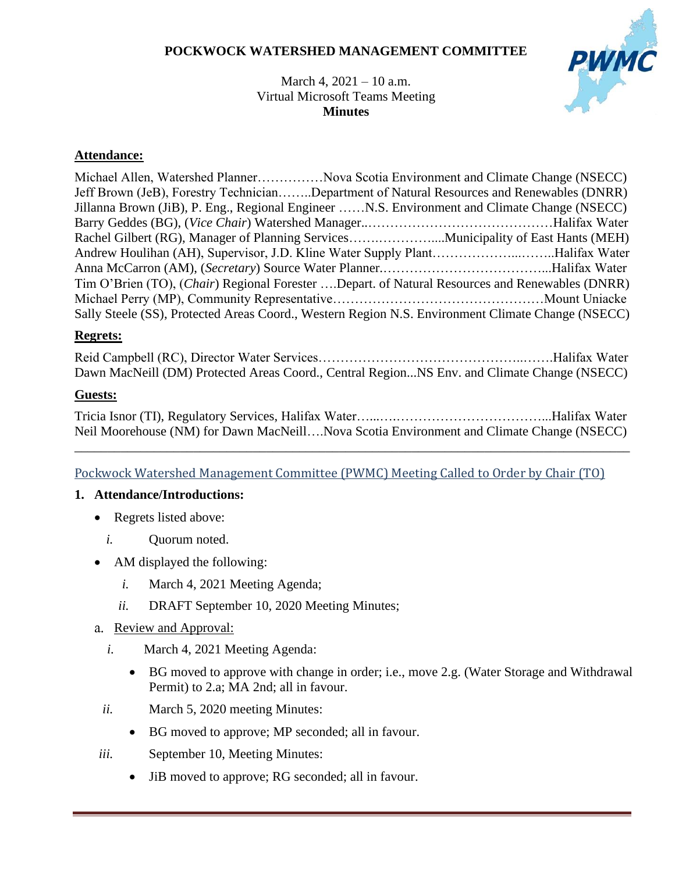### **POCKWOCK WATERSHED MANAGEMENT COMMITTEE**



March 4, 2021 – 10 a.m. Virtual Microsoft Teams Meeting **Minutes**

### **Attendance:**

Michael Allen, Watershed Planner……………Nova Scotia Environment and Climate Change (NSECC) Jeff Brown (JeB), Forestry Technician……..Department of Natural Resources and Renewables (DNRR) Jillanna Brown (JiB), P. Eng., Regional Engineer ……N.S. Environment and Climate Change (NSECC) Barry Geddes (BG), (*Vice Chair*) Watershed Manager..……………………………………Halifax Water Rachel Gilbert (RG), Manager of Planning Services...............................Municipality of East Hants (MEH) Andrew Houlihan (AH), Supervisor, J.D. Kline Water Supply Plant………………...……..Halifax Water Anna McCarron (AM), (*Secretary*) Source Water Planner.………………………………...Halifax Water Tim O'Brien (TO), (*Chair*) Regional Forester ….Depart. of Natural Resources and Renewables (DNRR) Michael Perry (MP), Community Representative…………………………………………Mount Uniacke Sally Steele (SS), Protected Areas Coord., Western Region N.S. Environment Climate Change (NSECC)

### **Regrets:**

Reid Campbell (RC), Director Water Services………………………………………..…….Halifax Water Dawn MacNeill (DM) Protected Areas Coord., Central Region...NS Env. and Climate Change (NSECC)

### **Guests:**

Tricia Isnor (TI), Regulatory Services, Halifax Water…...….……………………………...Halifax Water Neil Moorehouse (NM) for Dawn MacNeill….Nova Scotia Environment and Climate Change (NSECC)

\_\_\_\_\_\_\_\_\_\_\_\_\_\_\_\_\_\_\_\_\_\_\_\_\_\_\_\_\_\_\_\_\_\_\_\_\_\_\_\_\_\_\_\_\_\_\_\_\_\_\_\_\_\_\_\_\_\_\_\_\_\_\_\_\_\_\_\_\_\_\_\_\_\_\_\_\_\_\_\_\_\_\_\_

### Pockwock Watershed Management Committee (PWMC) Meeting Called to Order by Chair (TO)

### **1. Attendance/Introductions:**

- Regrets listed above:
	- *i.* Ouorum noted.
- AM displayed the following:
	- *i.* March 4, 2021 Meeting Agenda;
	- *ii.* DRAFT September 10, 2020 Meeting Minutes;
- a. Review and Approval:
	- *i.* March 4, 2021 Meeting Agenda:
		- BG moved to approve with change in order; i.e., move 2.g. (Water Storage and Withdrawal Permit) to 2.a; MA 2nd; all in favour.
	- *ii.* March 5, 2020 meeting Minutes:
		- BG moved to approve; MP seconded; all in favour.
- *iii.* September 10, Meeting Minutes:
	- JiB moved to approve; RG seconded; all in favour.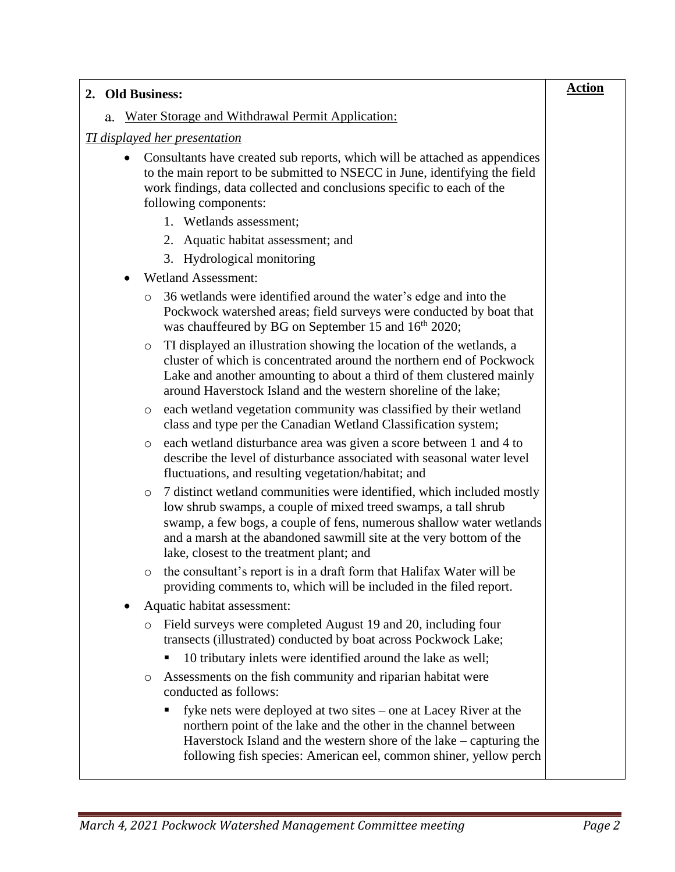| 2. Old Business:                                                                                                                                                                                                                                                                                                                         | <b>Action</b> |
|------------------------------------------------------------------------------------------------------------------------------------------------------------------------------------------------------------------------------------------------------------------------------------------------------------------------------------------|---------------|
| Water Storage and Withdrawal Permit Application:<br>a.                                                                                                                                                                                                                                                                                   |               |
| <b>TI</b> displayed her presentation                                                                                                                                                                                                                                                                                                     |               |
| Consultants have created sub reports, which will be attached as appendices<br>to the main report to be submitted to NSECC in June, identifying the field<br>work findings, data collected and conclusions specific to each of the<br>following components:                                                                               |               |
| 1. Wetlands assessment;                                                                                                                                                                                                                                                                                                                  |               |
| Aquatic habitat assessment; and<br>2.                                                                                                                                                                                                                                                                                                    |               |
| Hydrological monitoring<br>3.                                                                                                                                                                                                                                                                                                            |               |
| <b>Wetland Assessment:</b>                                                                                                                                                                                                                                                                                                               |               |
| 36 wetlands were identified around the water's edge and into the<br>O<br>Pockwock watershed areas; field surveys were conducted by boat that<br>was chauffeured by BG on September 15 and 16 <sup>th</sup> 2020;                                                                                                                         |               |
| TI displayed an illustration showing the location of the wetlands, a<br>O<br>cluster of which is concentrated around the northern end of Pockwock<br>Lake and another amounting to about a third of them clustered mainly<br>around Haverstock Island and the western shoreline of the lake;                                             |               |
| each wetland vegetation community was classified by their wetland<br>$\circ$<br>class and type per the Canadian Wetland Classification system;                                                                                                                                                                                           |               |
| each wetland disturbance area was given a score between 1 and 4 to<br>O<br>describe the level of disturbance associated with seasonal water level<br>fluctuations, and resulting vegetation/habitat; and                                                                                                                                 |               |
| 7 distinct wetland communities were identified, which included mostly<br>O<br>low shrub swamps, a couple of mixed treed swamps, a tall shrub<br>swamp, a few bogs, a couple of fens, numerous shallow water wetlands<br>and a marsh at the abandoned sawmill site at the very bottom of the<br>lake, closest to the treatment plant; and |               |
| the consultant's report is in a draft form that Halifax Water will be<br>providing comments to, which will be included in the filed report.                                                                                                                                                                                              |               |
| Aquatic habitat assessment:                                                                                                                                                                                                                                                                                                              |               |
| Field surveys were completed August 19 and 20, including four<br>O<br>transects (illustrated) conducted by boat across Pockwock Lake;                                                                                                                                                                                                    |               |
| 10 tributary inlets were identified around the lake as well;                                                                                                                                                                                                                                                                             |               |
| Assessments on the fish community and riparian habitat were<br>O<br>conducted as follows:                                                                                                                                                                                                                                                |               |
| fyke nets were deployed at two sites – one at Lacey River at the<br>northern point of the lake and the other in the channel between<br>Haverstock Island and the western shore of the lake $-$ capturing the<br>following fish species: American eel, common shiner, yellow perch                                                        |               |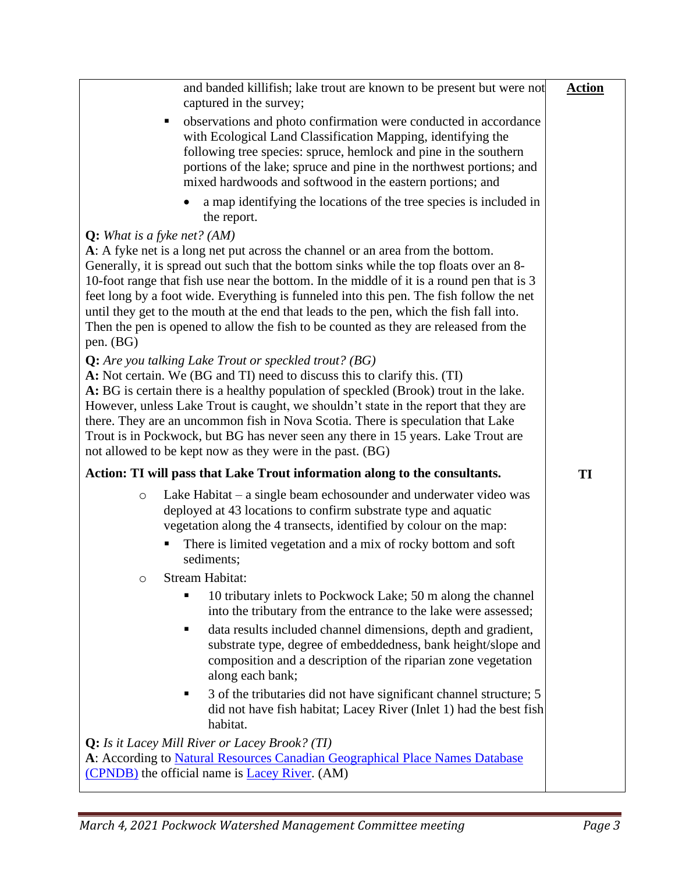| and banded killifish; lake trout are known to be present but were not<br>captured in the survey;                                                                                                                                                                                                                                                                                                                                                                                                                                                                | <b>Action</b> |
|-----------------------------------------------------------------------------------------------------------------------------------------------------------------------------------------------------------------------------------------------------------------------------------------------------------------------------------------------------------------------------------------------------------------------------------------------------------------------------------------------------------------------------------------------------------------|---------------|
| observations and photo confirmation were conducted in accordance<br>with Ecological Land Classification Mapping, identifying the<br>following tree species: spruce, hemlock and pine in the southern<br>portions of the lake; spruce and pine in the northwest portions; and<br>mixed hardwoods and softwood in the eastern portions; and                                                                                                                                                                                                                       |               |
| a map identifying the locations of the tree species is included in<br>the report.                                                                                                                                                                                                                                                                                                                                                                                                                                                                               |               |
| Q: What is a fyke net? $(AM)$<br>A: A fyke net is a long net put across the channel or an area from the bottom.<br>Generally, it is spread out such that the bottom sinks while the top floats over an 8-<br>10-foot range that fish use near the bottom. In the middle of it is a round pen that is 3<br>feet long by a foot wide. Everything is funneled into this pen. The fish follow the net                                                                                                                                                               |               |
| until they get to the mouth at the end that leads to the pen, which the fish fall into.<br>Then the pen is opened to allow the fish to be counted as they are released from the<br>pen. (BG)                                                                                                                                                                                                                                                                                                                                                                    |               |
| <b>Q:</b> Are you talking Lake Trout or speckled trout? (BG)<br>A: Not certain. We (BG and TI) need to discuss this to clarify this. (TI)<br>A: BG is certain there is a healthy population of speckled (Brook) trout in the lake.<br>However, unless Lake Trout is caught, we shouldn't state in the report that they are<br>there. They are an uncommon fish in Nova Scotia. There is speculation that Lake<br>Trout is in Pockwock, but BG has never seen any there in 15 years. Lake Trout are<br>not allowed to be kept now as they were in the past. (BG) |               |
| Action: TI will pass that Lake Trout information along to the consultants.                                                                                                                                                                                                                                                                                                                                                                                                                                                                                      | TI            |
| Lake Habitat $-$ a single beam echosounder and underwater video was<br>$\circ$<br>deployed at 43 locations to confirm substrate type and aquatic<br>vegetation along the 4 transects, identified by colour on the map:                                                                                                                                                                                                                                                                                                                                          |               |
| There is limited vegetation and a mix of rocky bottom and soft<br>sediments;                                                                                                                                                                                                                                                                                                                                                                                                                                                                                    |               |
| Stream Habitat:<br>O                                                                                                                                                                                                                                                                                                                                                                                                                                                                                                                                            |               |
| 10 tributary inlets to Pockwock Lake; 50 m along the channel<br>into the tributary from the entrance to the lake were assessed;                                                                                                                                                                                                                                                                                                                                                                                                                                 |               |
| data results included channel dimensions, depth and gradient,<br>п<br>substrate type, degree of embeddedness, bank height/slope and<br>composition and a description of the riparian zone vegetation<br>along each bank;                                                                                                                                                                                                                                                                                                                                        |               |
| 3 of the tributaries did not have significant channel structure; 5<br>did not have fish habitat; Lacey River (Inlet 1) had the best fish<br>habitat.                                                                                                                                                                                                                                                                                                                                                                                                            |               |
| Q: Is it Lacey Mill River or Lacey Brook? (TI)<br>A: According to Natural Resources Canadian Geographical Place Names Database<br>(CPNDB) the official name is <b>Lacey River</b> . (AM)                                                                                                                                                                                                                                                                                                                                                                        |               |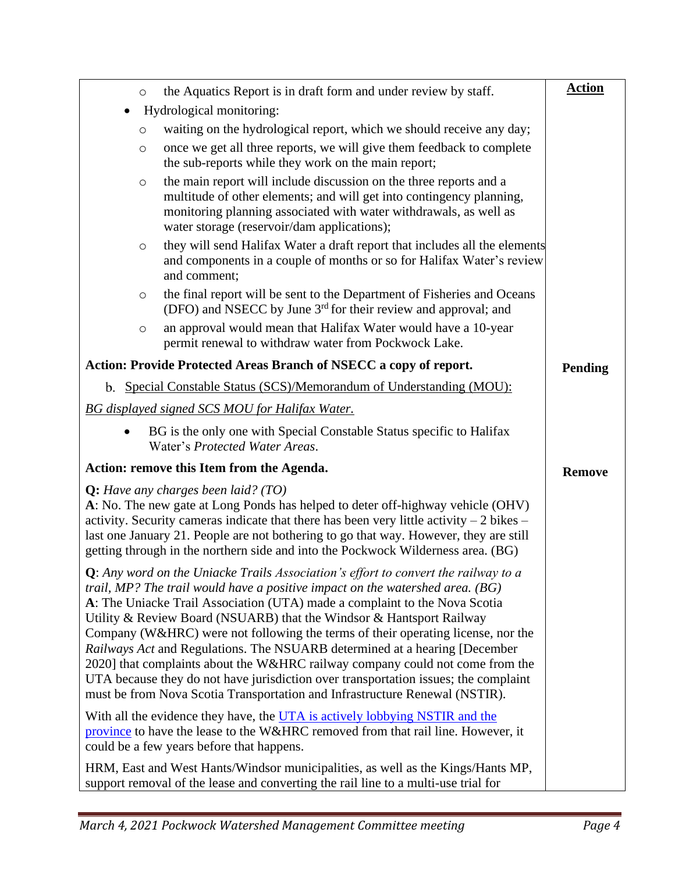| O         | the Aquatics Report is in draft form and under review by staff.                                                                                                                                                                                                                                                                                                                                                                                                                                                                                                                                                                                                                                                                                              | <b>Action</b>  |
|-----------|--------------------------------------------------------------------------------------------------------------------------------------------------------------------------------------------------------------------------------------------------------------------------------------------------------------------------------------------------------------------------------------------------------------------------------------------------------------------------------------------------------------------------------------------------------------------------------------------------------------------------------------------------------------------------------------------------------------------------------------------------------------|----------------|
| $\bullet$ | Hydrological monitoring:                                                                                                                                                                                                                                                                                                                                                                                                                                                                                                                                                                                                                                                                                                                                     |                |
| O         | waiting on the hydrological report, which we should receive any day;                                                                                                                                                                                                                                                                                                                                                                                                                                                                                                                                                                                                                                                                                         |                |
| $\circ$   | once we get all three reports, we will give them feedback to complete<br>the sub-reports while they work on the main report;                                                                                                                                                                                                                                                                                                                                                                                                                                                                                                                                                                                                                                 |                |
| $\circ$   | the main report will include discussion on the three reports and a<br>multitude of other elements; and will get into contingency planning,<br>monitoring planning associated with water withdrawals, as well as<br>water storage (reservoir/dam applications);                                                                                                                                                                                                                                                                                                                                                                                                                                                                                               |                |
| $\circ$   | they will send Halifax Water a draft report that includes all the elements<br>and components in a couple of months or so for Halifax Water's review<br>and comment;                                                                                                                                                                                                                                                                                                                                                                                                                                                                                                                                                                                          |                |
| $\circ$   | the final report will be sent to the Department of Fisheries and Oceans<br>(DFO) and NSECC by June 3 <sup>rd</sup> for their review and approval; and                                                                                                                                                                                                                                                                                                                                                                                                                                                                                                                                                                                                        |                |
| $\circ$   | an approval would mean that Halifax Water would have a 10-year<br>permit renewal to withdraw water from Pockwock Lake.                                                                                                                                                                                                                                                                                                                                                                                                                                                                                                                                                                                                                                       |                |
|           | Action: Provide Protected Areas Branch of NSECC a copy of report.                                                                                                                                                                                                                                                                                                                                                                                                                                                                                                                                                                                                                                                                                            | <b>Pending</b> |
|           | b. Special Constable Status (SCS)/Memorandum of Understanding (MOU):                                                                                                                                                                                                                                                                                                                                                                                                                                                                                                                                                                                                                                                                                         |                |
|           | <b>BG</b> displayed signed SCS MOU for Halifax Water.                                                                                                                                                                                                                                                                                                                                                                                                                                                                                                                                                                                                                                                                                                        |                |
|           | BG is the only one with Special Constable Status specific to Halifax<br>Water's Protected Water Areas.                                                                                                                                                                                                                                                                                                                                                                                                                                                                                                                                                                                                                                                       |                |
|           | Action: remove this Item from the Agenda.                                                                                                                                                                                                                                                                                                                                                                                                                                                                                                                                                                                                                                                                                                                    | <b>Remove</b>  |
|           | $Q$ : Have any charges been laid? (TO)<br>A: No. The new gate at Long Ponds has helped to deter off-highway vehicle (OHV)<br>activity. Security cameras indicate that there has been very little activity $-2$ bikes $-$<br>last one January 21. People are not bothering to go that way. However, they are still<br>getting through in the northern side and into the Pockwock Wilderness area. (BG)                                                                                                                                                                                                                                                                                                                                                        |                |
|           | <b>Q</b> : Any word on the Uniacke Trails Association's effort to convert the railway to a<br>trail, MP? The trail would have a positive impact on the watershed area. $(BG)$<br>A: The Uniacke Trail Association (UTA) made a complaint to the Nova Scotia<br>Utility & Review Board (NSUARB) that the Windsor & Hantsport Railway<br>Company (W&HRC) were not following the terms of their operating license, nor the<br>Railways Act and Regulations. The NSUARB determined at a hearing [December<br>2020] that complaints about the W&HRC railway company could not come from the<br>UTA because they do not have jurisdiction over transportation issues; the complaint<br>must be from Nova Scotia Transportation and Infrastructure Renewal (NSTIR). |                |
|           | With all the evidence they have, the UTA is actively lobbying NSTIR and the<br>province to have the lease to the W&HRC removed from that rail line. However, it<br>could be a few years before that happens.                                                                                                                                                                                                                                                                                                                                                                                                                                                                                                                                                 |                |
|           | HRM, East and West Hants/Windsor municipalities, as well as the Kings/Hants MP,<br>support removal of the lease and converting the rail line to a multi-use trial for                                                                                                                                                                                                                                                                                                                                                                                                                                                                                                                                                                                        |                |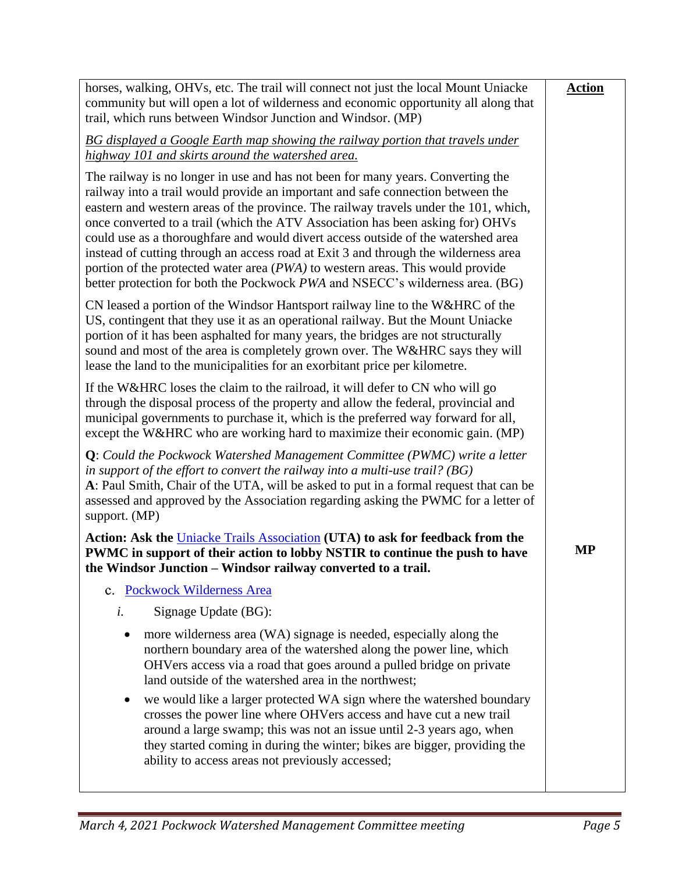| <b>Action</b> |
|---------------|
|               |
|               |
|               |
|               |
|               |
| <b>MP</b>     |
|               |
|               |
|               |
|               |
|               |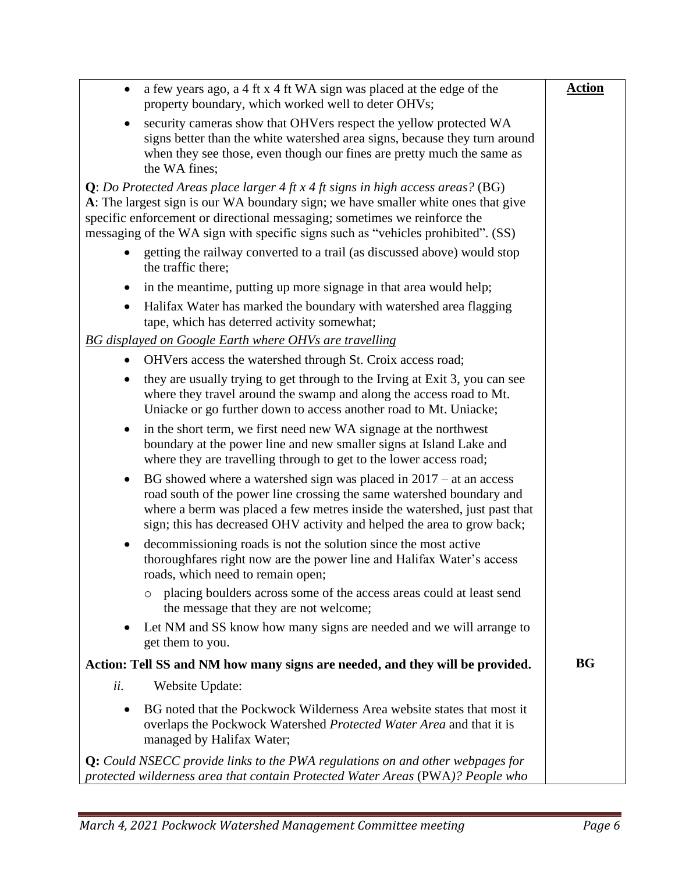| a few years ago, a 4 ft x 4 ft WA sign was placed at the edge of the<br>$\bullet$<br>property boundary, which worked well to deter OHVs;                                                                                                                                                                                                          | <b>Action</b> |
|---------------------------------------------------------------------------------------------------------------------------------------------------------------------------------------------------------------------------------------------------------------------------------------------------------------------------------------------------|---------------|
| security cameras show that OHVers respect the yellow protected WA<br>signs better than the white watershed area signs, because they turn around<br>when they see those, even though our fines are pretty much the same as<br>the WA fines;                                                                                                        |               |
| <b>Q</b> : Do Protected Areas place larger $4$ ft x $4$ ft signs in high access areas? (BG)<br>A: The largest sign is our WA boundary sign; we have smaller white ones that give<br>specific enforcement or directional messaging; sometimes we reinforce the<br>messaging of the WA sign with specific signs such as "vehicles prohibited". (SS) |               |
| getting the railway converted to a trail (as discussed above) would stop<br>the traffic there;                                                                                                                                                                                                                                                    |               |
| in the meantime, putting up more signage in that area would help;<br>$\bullet$                                                                                                                                                                                                                                                                    |               |
| Halifax Water has marked the boundary with watershed area flagging<br>$\bullet$<br>tape, which has deterred activity somewhat;                                                                                                                                                                                                                    |               |
| <b>BG</b> displayed on Google Earth where OHVs are travelling                                                                                                                                                                                                                                                                                     |               |
| OHVers access the watershed through St. Croix access road;<br>$\bullet$                                                                                                                                                                                                                                                                           |               |
| they are usually trying to get through to the Irving at Exit 3, you can see<br>$\bullet$<br>where they travel around the swamp and along the access road to Mt.<br>Uniacke or go further down to access another road to Mt. Uniacke;                                                                                                              |               |
| in the short term, we first need new WA signage at the northwest<br>$\bullet$<br>boundary at the power line and new smaller signs at Island Lake and<br>where they are travelling through to get to the lower access road;                                                                                                                        |               |
| BG showed where a watershed sign was placed in $2017 - at$ an access<br>$\bullet$<br>road south of the power line crossing the same watershed boundary and<br>where a berm was placed a few metres inside the watershed, just past that<br>sign; this has decreased OHV activity and helped the area to grow back;                                |               |
| decommissioning roads is not the solution since the most active<br>$\bullet$<br>thoroughfares right now are the power line and Halifax Water's access<br>roads, which need to remain open;                                                                                                                                                        |               |
| placing boulders across some of the access areas could at least send<br>$\circ$<br>the message that they are not welcome;                                                                                                                                                                                                                         |               |
| Let NM and SS know how many signs are needed and we will arrange to<br>$\bullet$<br>get them to you.                                                                                                                                                                                                                                              |               |
| Action: Tell SS and NM how many signs are needed, and they will be provided.                                                                                                                                                                                                                                                                      | <b>BG</b>     |
| ii.<br>Website Update:                                                                                                                                                                                                                                                                                                                            |               |
| BG noted that the Pockwock Wilderness Area website states that most it<br>$\bullet$<br>overlaps the Pockwock Watershed Protected Water Area and that it is<br>managed by Halifax Water;                                                                                                                                                           |               |
| $Q:$ Could NSECC provide links to the PWA regulations on and other webpages for<br>protected wilderness area that contain Protected Water Areas (PWA)? People who                                                                                                                                                                                 |               |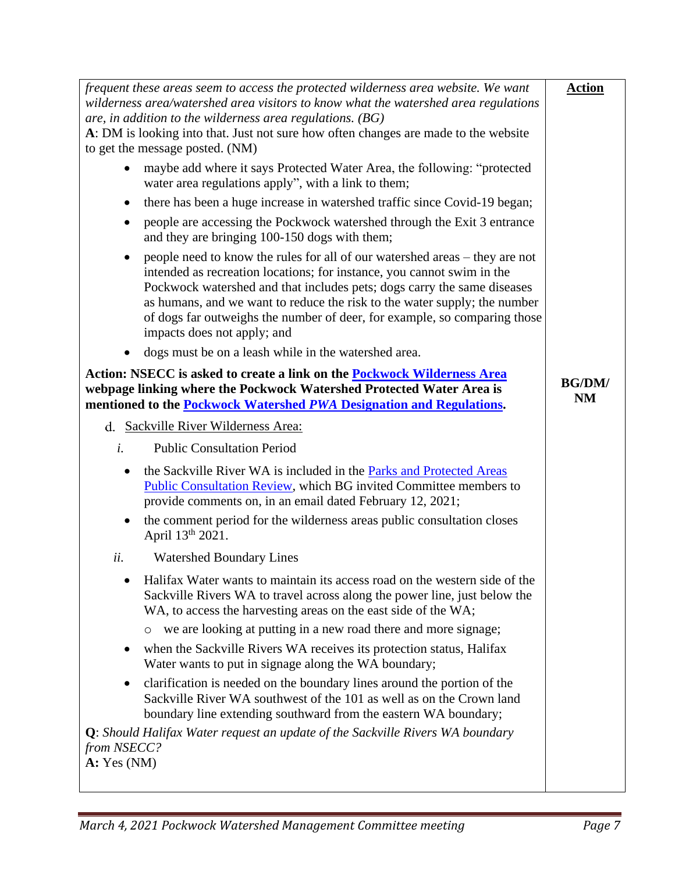| frequent these areas seem to access the protected wilderness area website. We want<br>wilderness area/watershed area visitors to know what the watershed area regulations                                                                                                                                                                                                                                                 | <b>Action</b>              |
|---------------------------------------------------------------------------------------------------------------------------------------------------------------------------------------------------------------------------------------------------------------------------------------------------------------------------------------------------------------------------------------------------------------------------|----------------------------|
| are, in addition to the wilderness area regulations. $(BG)$<br>A: DM is looking into that. Just not sure how often changes are made to the website<br>to get the message posted. (NM)                                                                                                                                                                                                                                     |                            |
| maybe add where it says Protected Water Area, the following: "protected<br>water area regulations apply", with a link to them;                                                                                                                                                                                                                                                                                            |                            |
| there has been a huge increase in watershed traffic since Covid-19 began;                                                                                                                                                                                                                                                                                                                                                 |                            |
| people are accessing the Pockwock watershed through the Exit 3 entrance<br>$\bullet$<br>and they are bringing 100-150 dogs with them;                                                                                                                                                                                                                                                                                     |                            |
| people need to know the rules for all of our watershed areas – they are not<br>intended as recreation locations; for instance, you cannot swim in the<br>Pockwock watershed and that includes pets; dogs carry the same diseases<br>as humans, and we want to reduce the risk to the water supply; the number<br>of dogs far outweighs the number of deer, for example, so comparing those<br>impacts does not apply; and |                            |
| dogs must be on a leash while in the watershed area.                                                                                                                                                                                                                                                                                                                                                                      |                            |
| Action: NSECC is asked to create a link on the <b>Pockwock Wilderness Area</b><br>webpage linking where the Pockwock Watershed Protected Water Area is<br>mentioned to the <b>Pockwock Watershed PWA Designation and Regulations</b> .                                                                                                                                                                                    | <b>BG/DM/</b><br><b>NM</b> |
| d. Sackville River Wilderness Area:                                                                                                                                                                                                                                                                                                                                                                                       |                            |
| i.<br><b>Public Consultation Period</b>                                                                                                                                                                                                                                                                                                                                                                                   |                            |
| the Sackville River WA is included in the Parks and Protected Areas<br>$\bullet$<br><b>Public Consultation Review, which BG invited Committee members to</b><br>provide comments on, in an email dated February 12, 2021;                                                                                                                                                                                                 |                            |
| the comment period for the wilderness areas public consultation closes<br>٠<br>April 13 <sup>th</sup> 2021.                                                                                                                                                                                                                                                                                                               |                            |
| ii.<br><b>Watershed Boundary Lines</b>                                                                                                                                                                                                                                                                                                                                                                                    |                            |
| Halifax Water wants to maintain its access road on the western side of the<br>Sackville Rivers WA to travel across along the power line, just below the<br>WA, to access the harvesting areas on the east side of the WA;                                                                                                                                                                                                 |                            |
| we are looking at putting in a new road there and more signage;<br>$\circ$                                                                                                                                                                                                                                                                                                                                                |                            |
| when the Sackville Rivers WA receives its protection status, Halifax<br>$\bullet$<br>Water wants to put in signage along the WA boundary;                                                                                                                                                                                                                                                                                 |                            |
| clarification is needed on the boundary lines around the portion of the<br>$\bullet$<br>Sackville River WA southwest of the 101 as well as on the Crown land<br>boundary line extending southward from the eastern WA boundary;                                                                                                                                                                                           |                            |
| <b>Q</b> : Should Halifax Water request an update of the Sackville Rivers WA boundary                                                                                                                                                                                                                                                                                                                                     |                            |
| from NSECC?<br>A: Yes (NM)                                                                                                                                                                                                                                                                                                                                                                                                |                            |
|                                                                                                                                                                                                                                                                                                                                                                                                                           |                            |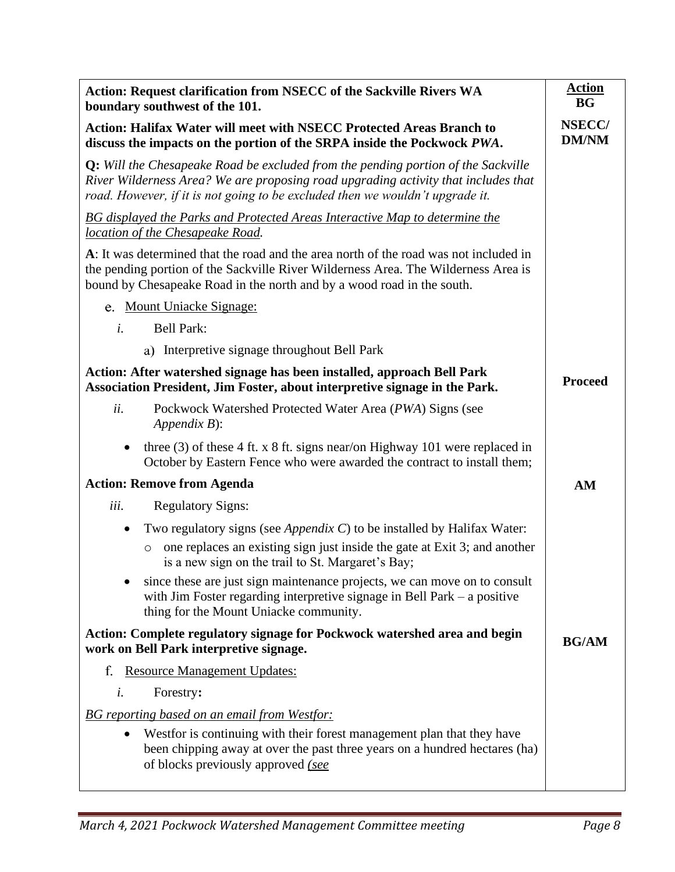| Action: Request clarification from NSECC of the Sackville Rivers WA<br>boundary southwest of the 101.                                                                                                                                                           | <b>Action</b><br><b>BG</b>    |
|-----------------------------------------------------------------------------------------------------------------------------------------------------------------------------------------------------------------------------------------------------------------|-------------------------------|
| <b>Action: Halifax Water will meet with NSECC Protected Areas Branch to</b><br>discuss the impacts on the portion of the SRPA inside the Pockwock PWA.                                                                                                          | <b>NSECC/</b><br><b>DM/NM</b> |
| <b>Q:</b> Will the Chesapeake Road be excluded from the pending portion of the Sackville<br>River Wilderness Area? We are proposing road upgrading activity that includes that<br>road. However, if it is not going to be excluded then we wouldn't upgrade it. |                               |
| BG displayed the Parks and Protected Areas Interactive Map to determine the<br>location of the Chesapeake Road.                                                                                                                                                 |                               |
| A: It was determined that the road and the area north of the road was not included in<br>the pending portion of the Sackville River Wilderness Area. The Wilderness Area is<br>bound by Chesapeake Road in the north and by a wood road in the south.           |                               |
| e. Mount Uniacke Signage:                                                                                                                                                                                                                                       |                               |
| <b>Bell Park:</b><br>i.                                                                                                                                                                                                                                         |                               |
| a) Interpretive signage throughout Bell Park                                                                                                                                                                                                                    |                               |
| Action: After watershed signage has been installed, approach Bell Park<br>Association President, Jim Foster, about interpretive signage in the Park.                                                                                                            | <b>Proceed</b>                |
| ii.<br>Pockwock Watershed Protected Water Area (PWA) Signs (see<br>$Appendix B)$ :                                                                                                                                                                              |                               |
| three $(3)$ of these 4 ft. x 8 ft. signs near/on Highway 101 were replaced in<br>$\bullet$<br>October by Eastern Fence who were awarded the contract to install them;                                                                                           |                               |
| <b>Action: Remove from Agenda</b>                                                                                                                                                                                                                               | AM                            |
| iii.<br><b>Regulatory Signs:</b>                                                                                                                                                                                                                                |                               |
| Two regulatory signs (see <i>Appendix C</i> ) to be installed by Halifax Water:<br>$\bullet$<br>one replaces an existing sign just inside the gate at Exit 3; and another<br>$\circ$<br>is a new sign on the trail to St. Margaret's Bay;                       |                               |
| since these are just sign maintenance projects, we can move on to consult<br>٠<br>with Jim Foster regarding interpretive signage in Bell Park $-$ a positive<br>thing for the Mount Uniacke community.                                                          |                               |
| Action: Complete regulatory signage for Pockwock watershed area and begin<br>work on Bell Park interpretive signage.                                                                                                                                            | <b>BG/AM</b>                  |
| f.<br><b>Resource Management Updates:</b>                                                                                                                                                                                                                       |                               |
| Forestry:<br>i.                                                                                                                                                                                                                                                 |                               |
| <b>BG</b> reporting based on an email from Westfor:                                                                                                                                                                                                             |                               |
| Westfor is continuing with their forest management plan that they have<br>$\bullet$<br>been chipping away at over the past three years on a hundred hectares (ha)<br>of blocks previously approved (see                                                         |                               |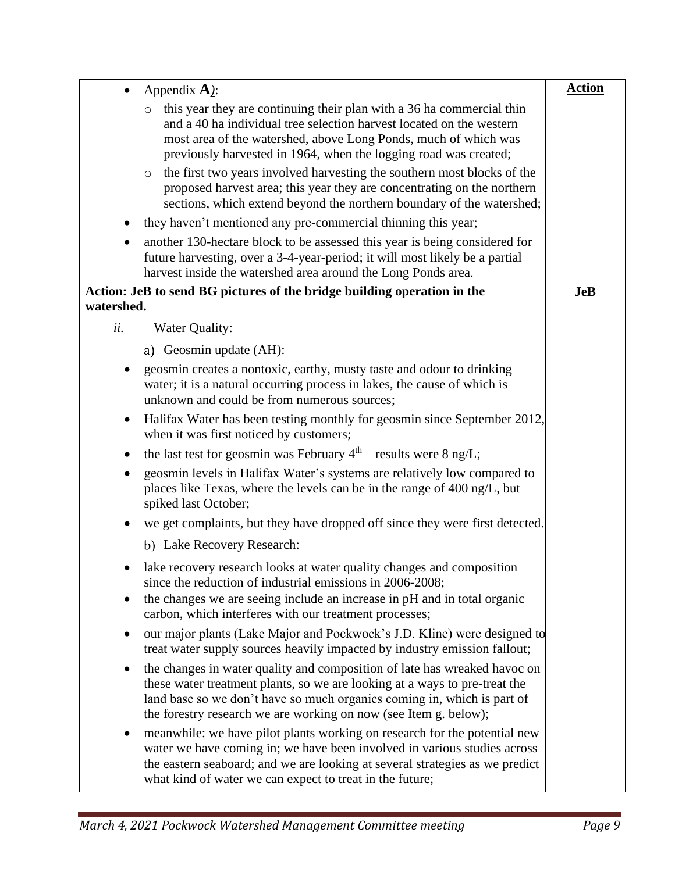|            | Appendix $\bf{A}$ ):                                                                                                                                                                                                                                                                                                                                                                                                                                                                                                                      | <b>Action</b> |
|------------|-------------------------------------------------------------------------------------------------------------------------------------------------------------------------------------------------------------------------------------------------------------------------------------------------------------------------------------------------------------------------------------------------------------------------------------------------------------------------------------------------------------------------------------------|---------------|
|            | this year they are continuing their plan with a 36 ha commercial thin<br>$\circ$<br>and a 40 ha individual tree selection harvest located on the western<br>most area of the watershed, above Long Ponds, much of which was<br>previously harvested in 1964, when the logging road was created;<br>the first two years involved harvesting the southern most blocks of the<br>$\circ$<br>proposed harvest area; this year they are concentrating on the northern<br>sections, which extend beyond the northern boundary of the watershed; |               |
| $\bullet$  | they haven't mentioned any pre-commercial thinning this year;                                                                                                                                                                                                                                                                                                                                                                                                                                                                             |               |
|            | another 130-hectare block to be assessed this year is being considered for<br>future harvesting, over a 3-4-year-period; it will most likely be a partial<br>harvest inside the watershed area around the Long Ponds area.                                                                                                                                                                                                                                                                                                                |               |
| watershed. | Action: JeB to send BG pictures of the bridge building operation in the                                                                                                                                                                                                                                                                                                                                                                                                                                                                   | <b>JeB</b>    |
| ii.        | Water Quality:                                                                                                                                                                                                                                                                                                                                                                                                                                                                                                                            |               |
|            | a) Geosmin update (AH):                                                                                                                                                                                                                                                                                                                                                                                                                                                                                                                   |               |
|            | geosmin creates a nontoxic, earthy, musty taste and odour to drinking<br>water; it is a natural occurring process in lakes, the cause of which is<br>unknown and could be from numerous sources;                                                                                                                                                                                                                                                                                                                                          |               |
| ٠          | Halifax Water has been testing monthly for geosmin since September 2012,<br>when it was first noticed by customers;                                                                                                                                                                                                                                                                                                                                                                                                                       |               |
| ٠          | the last test for geosmin was February $4th$ – results were 8 ng/L;                                                                                                                                                                                                                                                                                                                                                                                                                                                                       |               |
|            | geosmin levels in Halifax Water's systems are relatively low compared to<br>places like Texas, where the levels can be in the range of 400 ng/L, but<br>spiked last October;                                                                                                                                                                                                                                                                                                                                                              |               |
| ٠          | we get complaints, but they have dropped off since they were first detected.                                                                                                                                                                                                                                                                                                                                                                                                                                                              |               |
|            | b) Lake Recovery Research:                                                                                                                                                                                                                                                                                                                                                                                                                                                                                                                |               |
|            | lake recovery research looks at water quality changes and composition<br>since the reduction of industrial emissions in 2006-2008;<br>the changes we are seeing include an increase in pH and in total organic<br>carbon, which interferes with our treatment processes;                                                                                                                                                                                                                                                                  |               |
|            | our major plants (Lake Major and Pockwock's J.D. Kline) were designed to<br>treat water supply sources heavily impacted by industry emission fallout;                                                                                                                                                                                                                                                                                                                                                                                     |               |
| $\bullet$  | the changes in water quality and composition of late has wreaked havoc on<br>these water treatment plants, so we are looking at a ways to pre-treat the<br>land base so we don't have so much organics coming in, which is part of<br>the forestry research we are working on now (see Item g. below);                                                                                                                                                                                                                                    |               |
| $\bullet$  | meanwhile: we have pilot plants working on research for the potential new<br>water we have coming in; we have been involved in various studies across<br>the eastern seaboard; and we are looking at several strategies as we predict<br>what kind of water we can expect to treat in the future;                                                                                                                                                                                                                                         |               |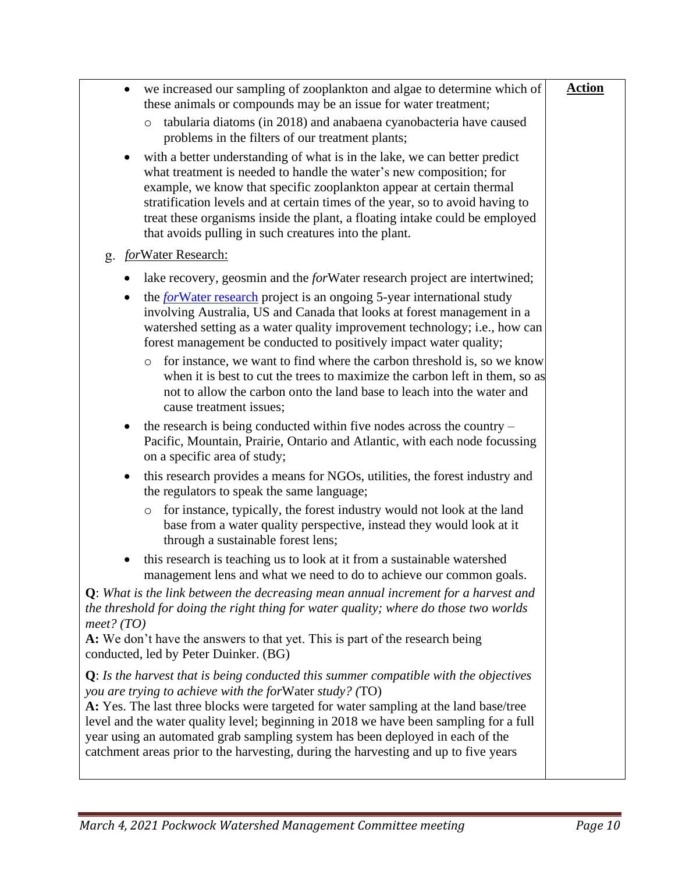| we increased our sampling of zooplankton and algae to determine which of<br>these animals or compounds may be an issue for water treatment;                                                                                                                                                                                                                                                                                                                                                                 | <b>Action</b> |
|-------------------------------------------------------------------------------------------------------------------------------------------------------------------------------------------------------------------------------------------------------------------------------------------------------------------------------------------------------------------------------------------------------------------------------------------------------------------------------------------------------------|---------------|
| tabularia diatoms (in 2018) and anabaena cyanobacteria have caused<br>$\circ$<br>problems in the filters of our treatment plants;                                                                                                                                                                                                                                                                                                                                                                           |               |
| with a better understanding of what is in the lake, we can better predict<br>what treatment is needed to handle the water's new composition; for<br>example, we know that specific zooplankton appear at certain thermal<br>stratification levels and at certain times of the year, so to avoid having to<br>treat these organisms inside the plant, a floating intake could be employed<br>that avoids pulling in such creatures into the plant.                                                           |               |
| forWater Research:<br>g.                                                                                                                                                                                                                                                                                                                                                                                                                                                                                    |               |
| lake recovery, geosmin and the <i>for</i> Water research project are intertwined;                                                                                                                                                                                                                                                                                                                                                                                                                           |               |
| the <i>for</i> Water research project is an ongoing 5-year international study<br>involving Australia, US and Canada that looks at forest management in a<br>watershed setting as a water quality improvement technology; i.e., how can<br>forest management be conducted to positively impact water quality;                                                                                                                                                                                               |               |
| for instance, we want to find where the carbon threshold is, so we know<br>$\circ$<br>when it is best to cut the trees to maximize the carbon left in them, so as<br>not to allow the carbon onto the land base to leach into the water and<br>cause treatment issues;                                                                                                                                                                                                                                      |               |
| the research is being conducted within five nodes across the country $-$<br>Pacific, Mountain, Prairie, Ontario and Atlantic, with each node focussing<br>on a specific area of study;                                                                                                                                                                                                                                                                                                                      |               |
| this research provides a means for NGOs, utilities, the forest industry and<br>the regulators to speak the same language;                                                                                                                                                                                                                                                                                                                                                                                   |               |
| for instance, typically, the forest industry would not look at the land<br>$\circ$<br>base from a water quality perspective, instead they would look at it<br>through a sustainable forest lens;                                                                                                                                                                                                                                                                                                            |               |
| this research is teaching us to look at it from a sustainable watershed<br>management lens and what we need to do to achieve our common goals.                                                                                                                                                                                                                                                                                                                                                              |               |
| $Q$ : What is the link between the decreasing mean annual increment for a harvest and<br>the threshold for doing the right thing for water quality; where do those two worlds<br>meet? (TO)                                                                                                                                                                                                                                                                                                                 |               |
| A: We don't have the answers to that yet. This is part of the research being<br>conducted, led by Peter Duinker. (BG)                                                                                                                                                                                                                                                                                                                                                                                       |               |
| $Q$ : Is the harvest that is being conducted this summer compatible with the objectives<br>you are trying to achieve with the forWater study? (TO)<br>A: Yes. The last three blocks were targeted for water sampling at the land base/tree<br>level and the water quality level; beginning in 2018 we have been sampling for a full<br>year using an automated grab sampling system has been deployed in each of the<br>catchment areas prior to the harvesting, during the harvesting and up to five years |               |
|                                                                                                                                                                                                                                                                                                                                                                                                                                                                                                             |               |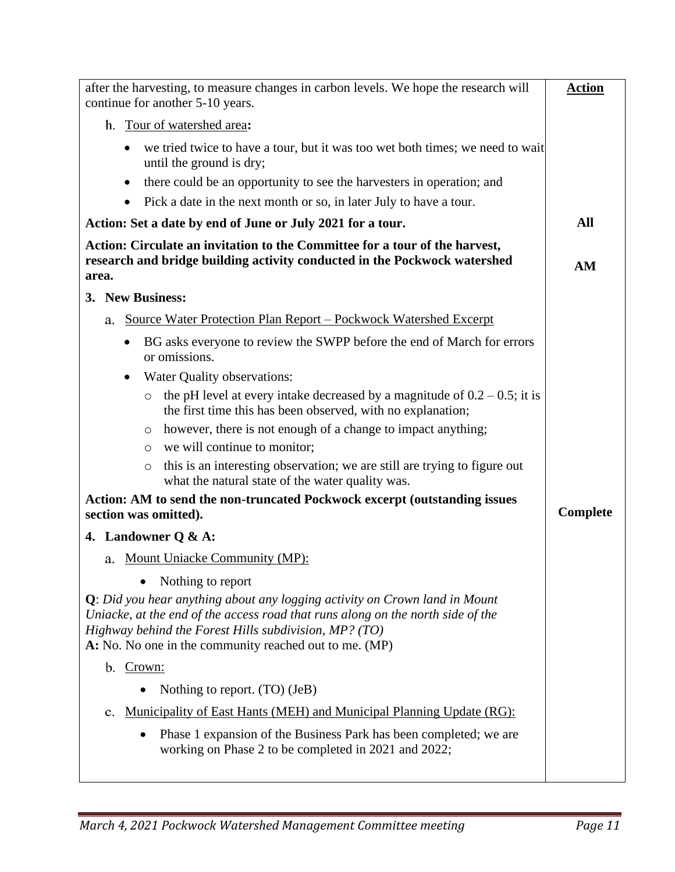| after the harvesting, to measure changes in carbon levels. We hope the research will<br>continue for another 5-10 years.                                                                                                                                                            | <b>Action</b>   |
|-------------------------------------------------------------------------------------------------------------------------------------------------------------------------------------------------------------------------------------------------------------------------------------|-----------------|
| h. Tour of watershed area:                                                                                                                                                                                                                                                          |                 |
| we tried twice to have a tour, but it was too wet both times; we need to wait<br>$\bullet$<br>until the ground is dry;                                                                                                                                                              |                 |
| there could be an opportunity to see the harvesters in operation; and<br>$\bullet$                                                                                                                                                                                                  |                 |
| Pick a date in the next month or so, in later July to have a tour.<br>$\bullet$                                                                                                                                                                                                     |                 |
| Action: Set a date by end of June or July 2021 for a tour.                                                                                                                                                                                                                          | All             |
| Action: Circulate an invitation to the Committee for a tour of the harvest,<br>research and bridge building activity conducted in the Pockwock watershed<br>area.                                                                                                                   | AM              |
| 3. New Business:                                                                                                                                                                                                                                                                    |                 |
| Source Water Protection Plan Report - Pockwock Watershed Excerpt<br>a.                                                                                                                                                                                                              |                 |
| BG asks everyone to review the SWPP before the end of March for errors<br>$\bullet$<br>or omissions.                                                                                                                                                                                |                 |
| Water Quality observations:<br>$\bullet$                                                                                                                                                                                                                                            |                 |
| the pH level at every intake decreased by a magnitude of $0.2 - 0.5$ ; it is<br>$\circ$<br>the first time this has been observed, with no explanation;                                                                                                                              |                 |
| however, there is not enough of a change to impact anything;<br>$\circ$                                                                                                                                                                                                             |                 |
| we will continue to monitor;<br>$\circ$                                                                                                                                                                                                                                             |                 |
| this is an interesting observation; we are still are trying to figure out<br>$\circ$<br>what the natural state of the water quality was.                                                                                                                                            |                 |
| Action: AM to send the non-truncated Pockwock excerpt (outstanding issues<br>section was omitted).                                                                                                                                                                                  | <b>Complete</b> |
| 4. Landowner Q & A:                                                                                                                                                                                                                                                                 |                 |
| a. Mount Uniacke Community (MP):                                                                                                                                                                                                                                                    |                 |
| Nothing to report                                                                                                                                                                                                                                                                   |                 |
| $Q$ : Did you hear anything about any logging activity on Crown land in Mount<br>Uniacke, at the end of the access road that runs along on the north side of the<br>Highway behind the Forest Hills subdivision, MP? (TO)<br>A: No. No one in the community reached out to me. (MP) |                 |
| b. Crown:                                                                                                                                                                                                                                                                           |                 |
| Nothing to report. (TO) (JeB)                                                                                                                                                                                                                                                       |                 |
| <u>Municipality of East Hants (MEH) and Municipal Planning Update (RG):</u><br>c.                                                                                                                                                                                                   |                 |
| Phase 1 expansion of the Business Park has been completed; we are<br>$\bullet$<br>working on Phase 2 to be completed in 2021 and 2022;                                                                                                                                              |                 |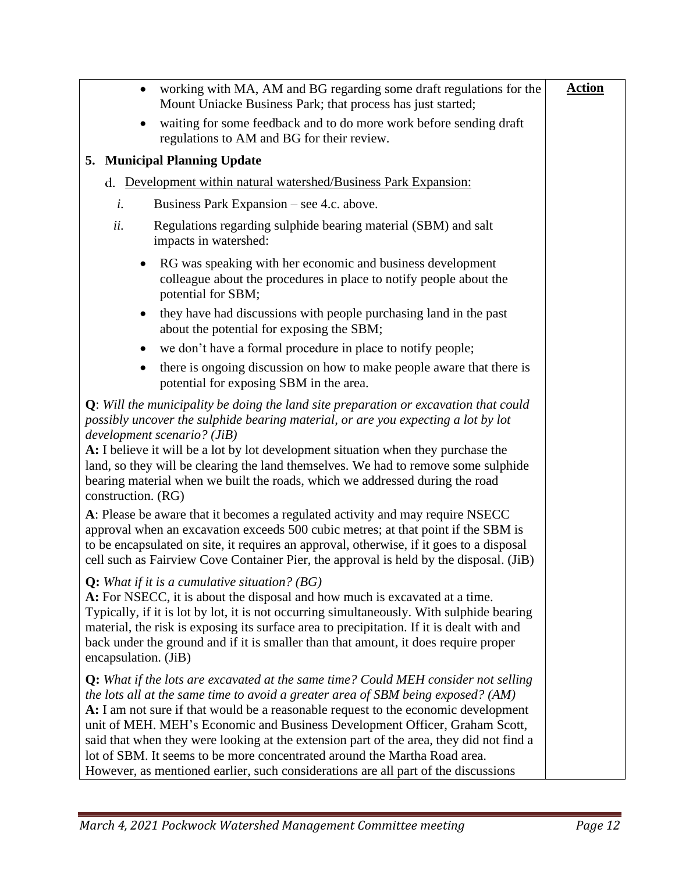| working with MA, AM and BG regarding some draft regulations for the<br>$\bullet$<br>Mount Uniacke Business Park; that process has just started;                                                                                                                                                                                                                                                                                                                                                                                                                                                                  | <b>Action</b> |
|------------------------------------------------------------------------------------------------------------------------------------------------------------------------------------------------------------------------------------------------------------------------------------------------------------------------------------------------------------------------------------------------------------------------------------------------------------------------------------------------------------------------------------------------------------------------------------------------------------------|---------------|
| waiting for some feedback and to do more work before sending draft<br>regulations to AM and BG for their review.                                                                                                                                                                                                                                                                                                                                                                                                                                                                                                 |               |
| 5. Municipal Planning Update                                                                                                                                                                                                                                                                                                                                                                                                                                                                                                                                                                                     |               |
| Development within natural watershed/Business Park Expansion:<br>d.                                                                                                                                                                                                                                                                                                                                                                                                                                                                                                                                              |               |
| Business Park Expansion – see 4.c. above.<br>i.                                                                                                                                                                                                                                                                                                                                                                                                                                                                                                                                                                  |               |
| ii.<br>Regulations regarding sulphide bearing material (SBM) and salt<br>impacts in watershed:                                                                                                                                                                                                                                                                                                                                                                                                                                                                                                                   |               |
| RG was speaking with her economic and business development<br>$\bullet$<br>colleague about the procedures in place to notify people about the<br>potential for SBM;                                                                                                                                                                                                                                                                                                                                                                                                                                              |               |
| they have had discussions with people purchasing land in the past<br>$\bullet$<br>about the potential for exposing the SBM;                                                                                                                                                                                                                                                                                                                                                                                                                                                                                      |               |
| we don't have a formal procedure in place to notify people;<br>$\bullet$                                                                                                                                                                                                                                                                                                                                                                                                                                                                                                                                         |               |
| there is ongoing discussion on how to make people aware that there is<br>$\bullet$<br>potential for exposing SBM in the area.                                                                                                                                                                                                                                                                                                                                                                                                                                                                                    |               |
| $Q$ : Will the municipality be doing the land site preparation or excavation that could<br>possibly uncover the sulphide bearing material, or are you expecting a lot by lot<br>development scenario? (JiB)<br>A: I believe it will be a lot by lot development situation when they purchase the<br>land, so they will be clearing the land themselves. We had to remove some sulphide<br>bearing material when we built the roads, which we addressed during the road<br>construction. (RG)                                                                                                                     |               |
| A: Please be aware that it becomes a regulated activity and may require NSECC<br>approval when an excavation exceeds 500 cubic metres; at that point if the SBM is<br>to be encapsulated on site, it requires an approval, otherwise, if it goes to a disposal<br>cell such as Fairview Cove Container Pier, the approval is held by the disposal. (JiB)                                                                                                                                                                                                                                                         |               |
| <b>Q:</b> What if it is a cumulative situation? $(BG)$<br>A: For NSECC, it is about the disposal and how much is excavated at a time.<br>Typically, if it is lot by lot, it is not occurring simultaneously. With sulphide bearing<br>material, the risk is exposing its surface area to precipitation. If it is dealt with and<br>back under the ground and if it is smaller than that amount, it does require proper<br>encapsulation. (JiB)                                                                                                                                                                   |               |
| <b>Q:</b> What if the lots are excavated at the same time? Could MEH consider not selling<br>the lots all at the same time to avoid a greater area of SBM being exposed? (AM)<br>A: I am not sure if that would be a reasonable request to the economic development<br>unit of MEH. MEH's Economic and Business Development Officer, Graham Scott,<br>said that when they were looking at the extension part of the area, they did not find a<br>lot of SBM. It seems to be more concentrated around the Martha Road area.<br>However, as mentioned earlier, such considerations are all part of the discussions |               |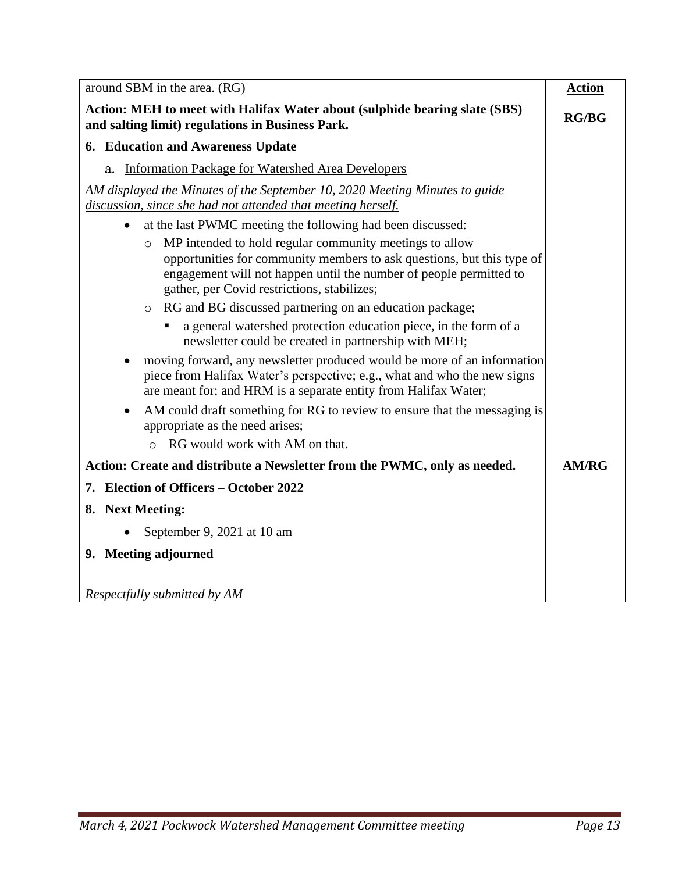<span id="page-12-0"></span>

| around SBM in the area. (RG)                                                                                                                                                                                                                                      | <b>Action</b> |
|-------------------------------------------------------------------------------------------------------------------------------------------------------------------------------------------------------------------------------------------------------------------|---------------|
| Action: MEH to meet with Halifax Water about (sulphide bearing slate (SBS)<br>and salting limit) regulations in Business Park.                                                                                                                                    | RG/BG         |
| <b>6. Education and Awareness Update</b>                                                                                                                                                                                                                          |               |
| Information Package for Watershed Area Developers<br>a.                                                                                                                                                                                                           |               |
| AM displayed the Minutes of the September 10, 2020 Meeting Minutes to guide                                                                                                                                                                                       |               |
| discussion, since she had not attended that meeting herself.                                                                                                                                                                                                      |               |
| at the last PWMC meeting the following had been discussed:<br>$\bullet$                                                                                                                                                                                           |               |
| MP intended to hold regular community meetings to allow<br>$\circ$<br>opportunities for community members to ask questions, but this type of<br>engagement will not happen until the number of people permitted to<br>gather, per Covid restrictions, stabilizes; |               |
| RG and BG discussed partnering on an education package;<br>$\circ$                                                                                                                                                                                                |               |
| a general watershed protection education piece, in the form of a<br>newsletter could be created in partnership with MEH;                                                                                                                                          |               |
| moving forward, any newsletter produced would be more of an information<br>$\bullet$<br>piece from Halifax Water's perspective; e.g., what and who the new signs<br>are meant for; and HRM is a separate entity from Halifax Water;                               |               |
| AM could draft something for RG to review to ensure that the messaging is<br>appropriate as the need arises;                                                                                                                                                      |               |
| RG would work with AM on that.<br>$\Omega$                                                                                                                                                                                                                        |               |
| Action: Create and distribute a Newsletter from the PWMC, only as needed.                                                                                                                                                                                         | <b>AM/RG</b>  |
| 7. Election of Officers – October 2022                                                                                                                                                                                                                            |               |
| 8. Next Meeting:                                                                                                                                                                                                                                                  |               |
| September 9, 2021 at 10 am                                                                                                                                                                                                                                        |               |
| 9. Meeting adjourned                                                                                                                                                                                                                                              |               |
|                                                                                                                                                                                                                                                                   |               |
| Respectfully submitted by AM                                                                                                                                                                                                                                      |               |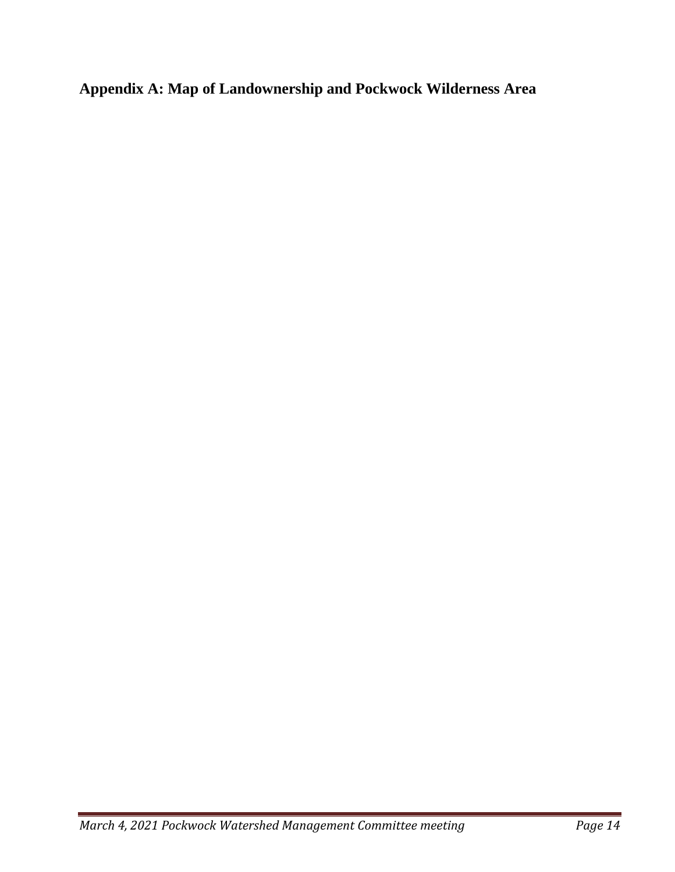**Appendix A: Map of Landownership and Pockwock Wilderness Area**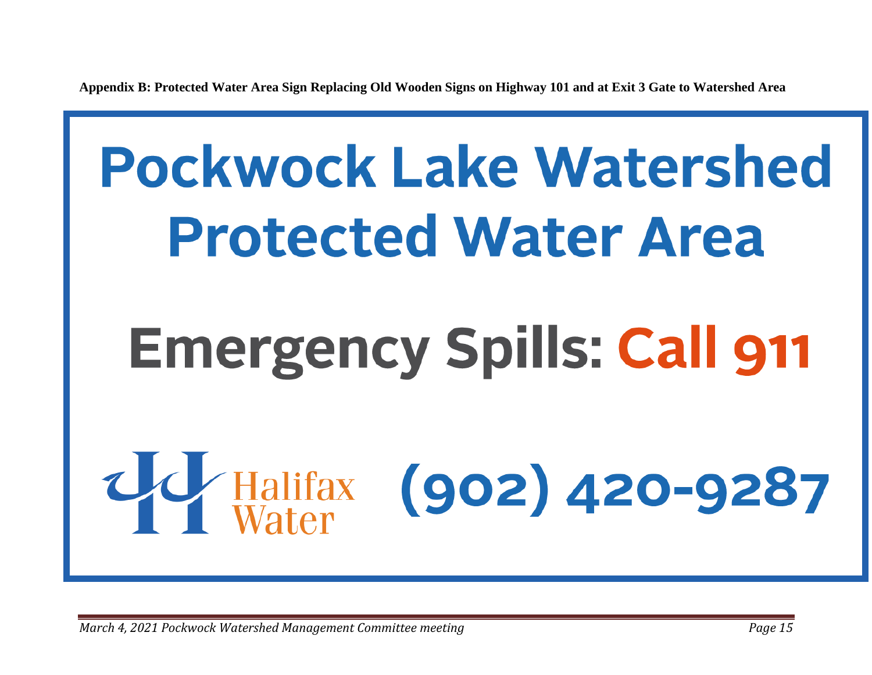**Appendix B: Protected Water Area Sign Replacing Old Wooden Signs on Highway 101 and at Exit 3 Gate to Watershed Area**

# <span id="page-14-0"></span>**Pockwock Lake Watershed Protected Water Area Emergency Spills: Call 911**  $(902)$  420-9287 Halifax<br>Water

*March 4, 2021 Pockwock Watershed Management Committee meeting Page 15*